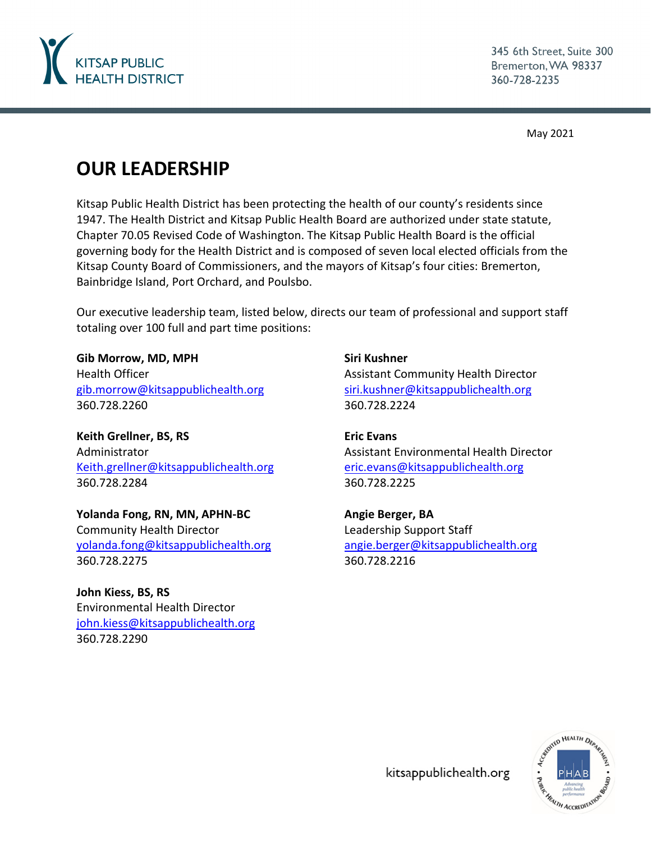

345 6th Street, Suite 300 Bremerton, WA 98337 360-728-2235

May 2021

# **OUR LEADERSHIP**

Kitsap Public Health District has been protecting the health of our county's residents since 1947. The Health District and Kitsap Public Health Board are authorized under state statute, Chapter 70.05 Revised Code of Washington. The Kitsap Public Health Board is the official governing body for the Health District and is composed of seven local elected officials from the Kitsap County Board of Commissioners, and the mayors of Kitsap's four cities: Bremerton, Bainbridge Island, Port Orchard, and Poulsbo.

Our executive leadership team, listed below, directs our team of professional and support staff totaling over 100 full and part time positions:

**Gib Morrow, MD, MPH** Health Officer [gib.morrow@kitsappublichealth.org](mailto:gib.morrow@kitsappublichealth.org) 360.728.2260

**Keith Grellner, BS, RS** Administrator [Keith.grellner@kitsappublichealth.org](mailto:Keith.grellner@kitsappublichealth.org) 360.728.2284

**Yolanda Fong, RN, MN, APHN-BC** Community Health Director [yolanda.fong@kitsappublichealth.org](mailto:yolanda.fong@kitsappublichealth.org) 360.728.2275

**John Kiess, BS, RS** Environmental Health Director [john.kiess@kitsappublichealth.org](mailto:john.kiess@kitsappublichealth.org) 360.728.2290

**Siri Kushner** Assistant Community Health Director [siri.kushner@kitsappublichealth.org](mailto:siri.kushner@kitsappublichealth.org) 360.728.2224

**Eric Evans** Assistant Environmental Health Director [eric.evans@kitsappublichealth.org](mailto:eric.evans@kitsappublichealth.org) 360.728.2225

**Angie Berger, BA** Leadership Support Staff [angie.berger@kitsappublichealth.org](mailto:angie.berger@kitsappublichealth.org) 360.728.2216